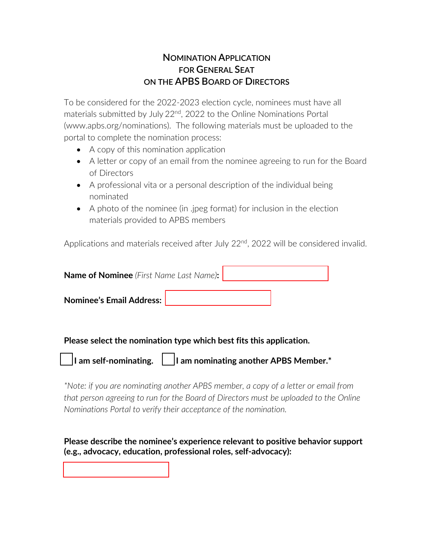## **NOMINATION APPLICATION FOR GENERAL SEAT ON THE APBS BOARD OF DIRECTORS**

To be considered for the 2022-2023 election cycle, nominees must have all materials submitted by July 22<sup>nd</sup>, 2022 to the Online Nominations Portal (www.apbs.org/nominations). The following materials must be uploaded to the portal to complete the nomination process:

- A copy of this nomination application
- A letter or copy of an email from the nominee agreeing to run for the Board of Directors
- A professional vita or a personal description of the individual being nominated
- A photo of the nominee (in .jpeg format) for inclusion in the election materials provided to APBS members

Applications and materials received after July 22<sup>nd</sup>, 2022 will be considered invalid.

| <b>Name of Nominee</b> (First Name Last Name): |  |  |
|------------------------------------------------|--|--|
| <b>Nominee's Email Address:</b>                |  |  |

**Please select the nomination type which best fits this application.**

| $\vert$ am self-nominating. | $\vert$ I am nominating another APBS Member. $*$ |  |
|-----------------------------|--------------------------------------------------|--|
|-----------------------------|--------------------------------------------------|--|

*\*Note: if you are nominating another APBS member, a copy of a letter or email from that person agreeing to run for the Board of Directors must be uploaded to the Online Nominations Portal to verify their acceptance of the nomination.*

**Please describe the nominee's experience relevant to positive behavior support (e.g., advocacy, education, professional roles, self-advocacy):**